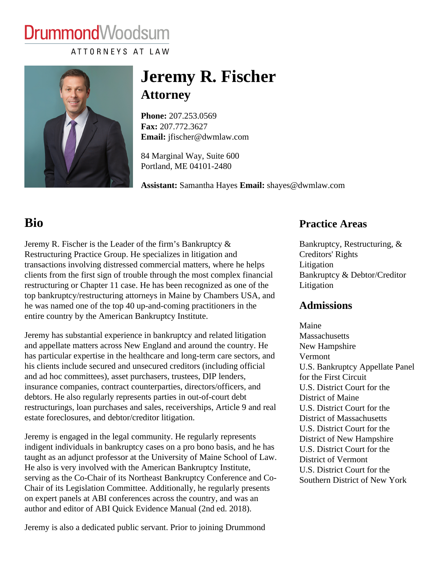# **DrummondWoodsum**

ATTORNEYS AT LAW

## Jeremy R. Fischer **Attorney**

Phone:[207.253.056](/home/dwmlaw/public_html/tel:+1207.253.0569)9 Fax: [207.772.362](/home/dwmlaw/public_html/fax:+1207.772.3627)7 Email: [jfischer@dwmlaw.com](mailto:jfischer@dwmlaw.com)

84 Marginal Way, Suite 600 Portland, ME 04101-2480

Assistant: Samantha Hayesmail: [shayes@dwmlaw.co](mailto:shayes@dwmlaw.com)m

### Bio

#### Practice Areas

Jeremy R. Fischer is the Leader of the firm's Bankruptcy & Restructuring Practice Group. He specializes in litigation and transactions involving distressed commercial matters, where he helps clients from the first sign of trouble through the most complex financial restructuring or Chapter 11 case. He has been recognized as one of the [Litigation](/practice-areas/litigation/bankruptcy-and-debtor-creditor-litigation/) top bankruptcy/restructuring attorneys in Maine by Chambers USA, and he was named one of the top 40 up-and-coming practitioners in the entire country by the American Bankruptcy Institute. [Bankruptcy, Restructuring, &](/practice-areas/bankruptcy-restructuring-creditors-rights/) [Creditors' Right](/practice-areas/bankruptcy-restructuring-creditors-rights/)s [Litigation](/practice-areas/litigation/) [Bankruptcy & Debtor/Credito](/practice-areas/litigation/bankruptcy-and-debtor-creditor-litigation/)r Admissions

Maine

Jeremy has substantial experience in bankruptcy and related litigation and appellate matters across New England and around the country. He New Hampshire has particular expertise in the healthcare and long-term care sectors, and ermont his clients include secured and unsecured creditors (including official and ad hoc committees), asset purchasers, trustees, DIP lenders, insurance companies, contract counterparties, directors/officers, and debtors. He also regularly represents parties in out-of-court debt restructurings, loan purchases and sales, receiverships, Article 9 and real S. District Court for the estate foreclosures, and debtor/creditor litigation. **Massachusetts** U.S. Bankruptcy Appellate Panel for the First Circuit U.S. District Court for the District of Maine District of Massachusetts

Jeremy is engaged in the legal community. He regularly represents indigent individuals in bankruptcy cases on a pro bono basis, and he hang S. District Court for the taught as an adjunct professor at the University of Maine School of Law. District of Vermont He also is very involved with the American Bankruptcy Institute, serving as the Co-Chair of its Northeast Bankruptcy Conference and Co<sub>Southern</sub> District of New York Chair of its Legislation Committee. Additionally, he regularly presents on expert panels at ABI conferences across the country, and was an author and editor of ABI Quick Evidence Manual (2nd ed. 2018). U.S. District Court for the District of New Hampshire U.S. District Court for the

Jeremy is also a dedicated public servant. Prior to joining Drummond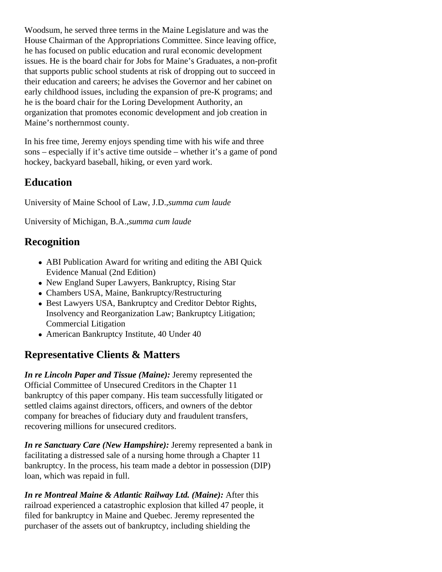Woodsum, he served three terms in the Maine Legislature and was the House Chairman of the Appropriations Committee. Since leaving office, he has focused on public education and rural economic development issues. He is the board chair for Jobs for Maine's Graduates, a non-profit that supports public school students at risk of dropping out to succeed in their education and careers; he advises the Governor and her cabinet on early childhood issues poluding the expansion of pre-K programs of he is the board chair for the Loring Development Authority, an organization that promotes economic development and job creation in Maine's northernmost county.

In his free time, Jeremy enjoys spending time with his wife than the left [sons](https://dwmlaw.com/wp-content/uploads/2022/06/PPH-Father_s-Day-June-20-2021.pdf)-especially if it's active time outside – whether it's a game of pond hockey, backyard baseball, hiking, or even yard work.

#### **Education**

University of Maine School of Law, J.Bumma cum laude

University of Michigan, B.A. summa cum laude

#### **Recognition**

- ABI Publication Award for writing and editing the ABI Quick Evidence Manual (2nd Edition)
- New England Super Lawyers, Bankruptcy, Rising Star
- Chambers USA, Maine, Bankruptcy/Restructuring
- Best Lawyers USA, Bankruptcy and Creditor Debtor Rights, Insolvency and Reorganization Law; Bankruptcy Litigation; Commercial Litigation
- American Bankruptcy Institute, 40 Under 40

#### Representative Clients & Matters

In re Lincoln Paper and Tissue (Maine) deremy represented the Official Committee of Unsecured Creditors in the Chapter 11 bankruptcy of this paper company. His team successfully litigated or settled claims against directors, officers, and owners of the debtor company for breaches of fiduciary duty and fraudulent transfers, recovering millions for unsecured creditors.

In re Sanctuary Care (New Hampshire) leremy represented a bank in facilitating a distressed sale of a nursing home through a Chapter 11 bankruptcy. In the process, his team made a debtor in possession (DIP) loan, which was repaid in full.

In re Montreal Maine & Atlantic Railway Ltd. (Maine): After this railroad experienced a catastrophic explosion that killed 47 people, it filed for bankruptcy in Maine and Quebec. Jeremy represented the purchaser of the assets out of bankruptcy, including shielding the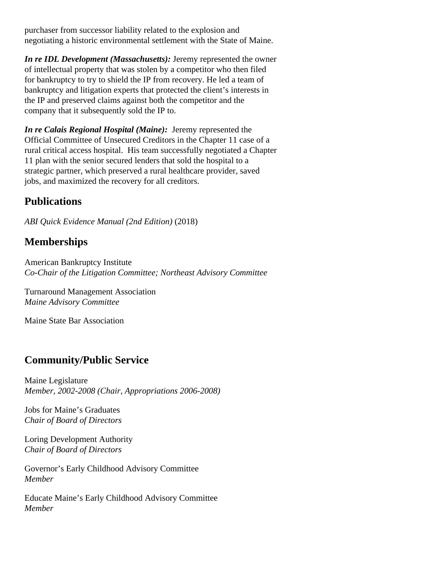purchaser from successor liability related to the explosion and negotiating a historic environmental settlement with the State of Maine.

*In re IDL Development (Massachusetts):* Jeremy represented the owner of intellectual property that was stolen by a competitor who then filed for bankruptcy to try to shield the IP from recovery. He led a team of bankruptcy and litigation experts that protected the client's interests in the IP and preserved claims against both the competitor and the company that it subsequently sold the IP to.

*In re Calais Regional Hospital (Maine):* Jeremy represented the Official Committee of Unsecured Creditors in the Chapter 11 case of a rural critical access hospital. His team successfully negotiated a Chapter 11 plan with the senior secured lenders that sold the hospital to a strategic partner, which preserved a rural healthcare provider, saved jobs, and maximized the recovery for all creditors.

#### **Publications**

*ABI Quick Evidence Manual (2nd Edition)* (2018)

#### **Memberships**

American Bankruptcy Institute *Co-Chair of the Litigation Committee; Northeast Advisory Committee*

Turnaround Management Association *Maine Advisory Committee*

Maine State Bar Association

#### **Community/Public Service**

Maine Legislature *Member, 2002-2008 (Chair, Appropriations 2006-2008)*

Jobs for Maine's Graduates *Chair of Board of Directors*

Loring Development Authority *Chair of Board of Directors*

Governor's Early Childhood Advisory Committee *Member*

Educate Maine's Early Childhood Advisory Committee *Member*